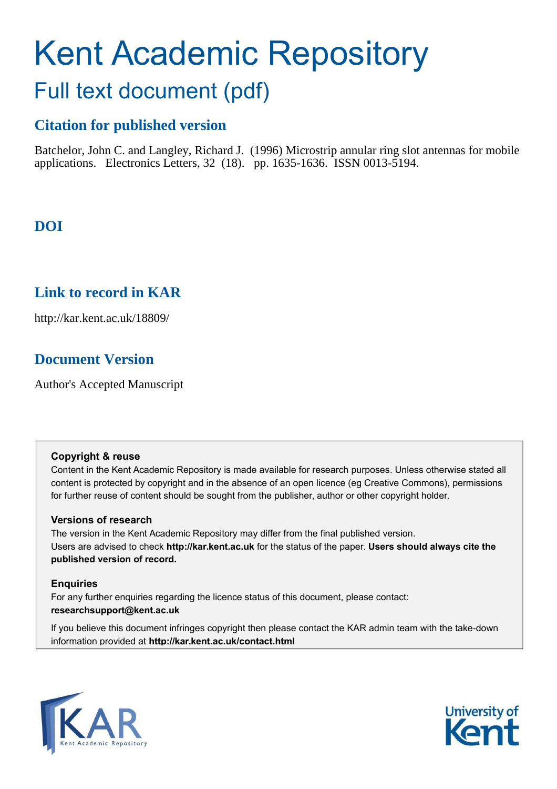# Kent Academic Repository

# Full text document (pdf)

# **Citation for published version**

Batchelor, John C. and Langley, Richard J. (1996) Microstrip annular ring slot antennas for mobile applications. Electronics Letters, 32 (18). pp. 1635-1636. ISSN 0013-5194.

# **DOI**

# **Link to record in KAR**

http://kar.kent.ac.uk/18809/

# **Document Version**

Author's Accepted Manuscript

#### **Copyright & reuse**

Content in the Kent Academic Repository is made available for research purposes. Unless otherwise stated all content is protected by copyright and in the absence of an open licence (eg Creative Commons), permissions for further reuse of content should be sought from the publisher, author or other copyright holder.

#### **Versions of research**

The version in the Kent Academic Repository may differ from the final published version. Users are advised to check **http://kar.kent.ac.uk** for the status of the paper. **Users should always cite the published version of record.**

#### **Enquiries**

For any further enquiries regarding the licence status of this document, please contact: **researchsupport@kent.ac.uk**

If you believe this document infringes copyright then please contact the KAR admin team with the take-down information provided at **http://kar.kent.ac.uk/contact.html**



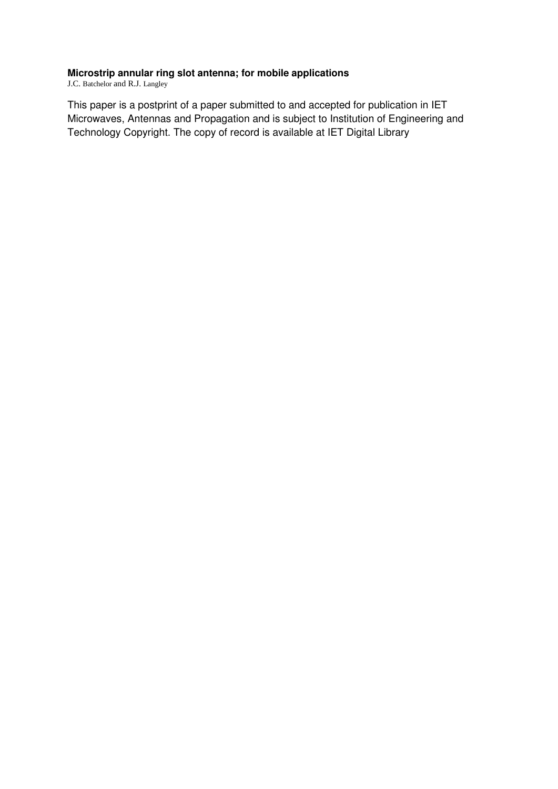#### **Microstrip annular ring slot antenna; for mobile applications**

J.C. Batchelor and R.J. Langley

This paper is a postprint of a paper submitted to and accepted for publication in IET Microwaves, Antennas and Propagation and is subject to Institution of Engineering and Technology Copyright. The copy of record is available at IET Digital Library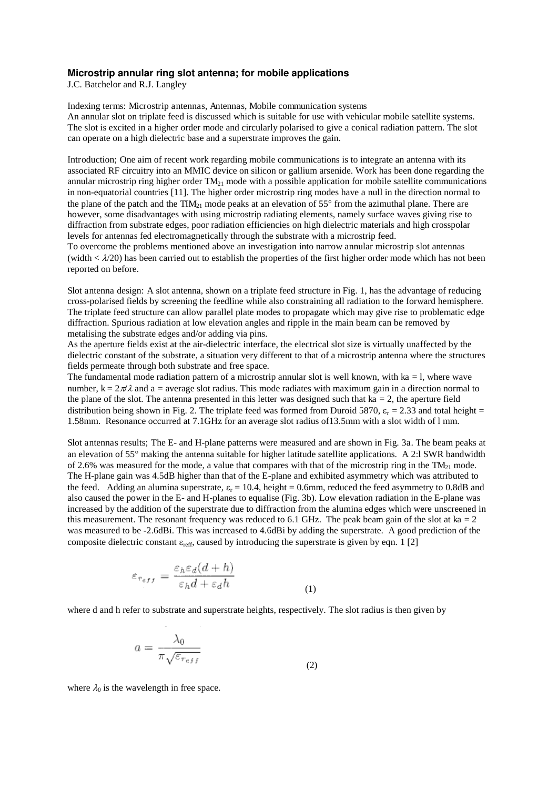#### **Microstrip annular ring slot antenna; for mobile applications**

J.C. Batchelor and R.J. Langley

Indexing terms: Microstrip antennas, Antennas, Mobile communication systems An annular slot on triplate feed is discussed which is suitable for use with vehicular mobile satellite systems. The slot is excited in a higher order mode and circularly polarised to give a conical radiation pattern. The slot can operate on a high dielectric base and a superstrate improves the gain.

Introduction; One aim of recent work regarding mobile communications is to integrate an antenna with its associated RF circuitry into an MMIC device on silicon or gallium arsenide. Work has been done regarding the annular microstrip ring higher order  $TM_{21}$  mode with a possible application for mobile satellite communications in non-equatorial countries [11]. The higher order microstrip ring modes have a null in the direction normal to the plane of the patch and the  $\text{TIM}_{21}$  mode peaks at an elevation of 55 $^{\circ}$  from the azimuthal plane. There are however, some disadvantages with using microstrip radiating elements, namely surface waves giving rise to diffraction from substrate edges, poor radiation efficiencies on high dielectric materials and high crosspolar levels for antennas fed electromagnetically through the substrate with a microstrip feed.

To overcome the problems mentioned above an investigation into narrow annular microstrip slot antennas (width  $\langle \frac{\lambda}{20} \rangle$ ) has been carried out to establish the properties of the first higher order mode which has not been reported on before.

Slot antenna design: A slot antenna, shown on a triplate feed structure in Fig. 1, has the advantage of reducing cross-polarised fields by screening the feedline while also constraining all radiation to the forward hemisphere. The triplate feed structure can allow parallel plate modes to propagate which may give rise to problematic edge diffraction. Spurious radiation at low elevation angles and ripple in the main beam can be removed by metalising the substrate edges and/or adding via pins.

As the aperture fields exist at the air-dielectric interface, the electrical slot size is virtually unaffected by the dielectric constant of the substrate, a situation very different to that of a microstrip antenna where the structures fields permeate through both substrate and free space.

The fundamental mode radiation pattern of a microstrip annular slot is well known, with  $ka = 1$ , where wave number,  $k = 2\pi/\lambda$  and a = average slot radius. This mode radiates with maximum gain in a direction normal to the plane of the slot. The antenna presented in this letter was designed such that  $ka = 2$ , the aperture field distribution being shown in Fig. 2. The triplate feed was formed from Duroid 5870,  $\varepsilon_r = 2.33$  and total height = 1.58mm. Resonance occurred at 7.1GHz for an average slot radius of13.5mm with a slot width of l mm.

Slot antennas results; The E- and H-plane patterns were measured and are shown in Fig. 3a. The beam peaks at an elevation of 55° making the antenna suitable for higher latitude satellite applications. A 2:l SWR bandwidth of 2.6% was measured for the mode, a value that compares with that of the microstrip ring in the  $TM_{21}$  mode. The H-plane gain was 4.5dB higher than that of the E-plane and exhibited asymmetry which was attributed to the feed. Adding an alumina superstrate,  $\varepsilon_r = 10.4$ , height = 0.6mm, reduced the feed asymmetry to 0.8dB and also caused the power in the E- and H-planes to equalise (Fig. 3b). Low elevation radiation in the E-plane was increased by the addition of the superstrate due to diffraction from the alumina edges which were unscreened in this measurement. The resonant frequency was reduced to 6.1 GHz. The peak beam gain of the slot at  $ka = 2$ was measured to be -2.6dBi. This was increased to 4.6dBi by adding the superstrate. A good prediction of the composite dielectric constant  $\varepsilon_{\text{reff}}$ , caused by introducing the superstrate is given by eqn. 1 [2]

$$
\varepsilon_{r_{eff}} = \frac{\varepsilon_h \varepsilon_d (d+h)}{\varepsilon_h d + \varepsilon_d h} \tag{1}
$$

where d and h refer to substrate and superstrate heights, respectively. The slot radius is then given by

$$
a = \frac{\lambda_0}{\pi \sqrt{\varepsilon_{reff}}}
$$
\n(2)

where  $\lambda_0$  is the wavelength in free space.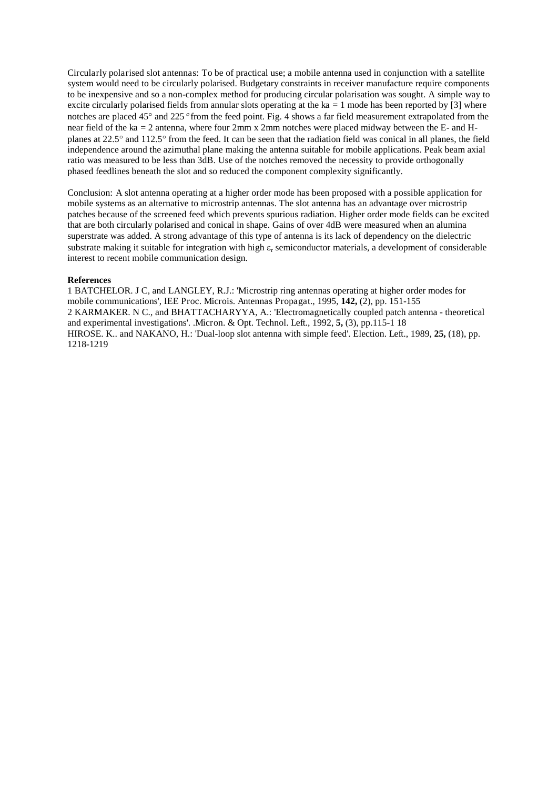Circularly polarised slot antennas: To be of practical use; a mobile antenna used in conjunction with a satellite system would need to be circularly polarised. Budgetary constraints in receiver manufacture require components to be inexpensive and so a non-complex method for producing circular polarisation was sought. A simple way to excite circularly polarised fields from annular slots operating at the ka  $= 1$  mode has been reported by [3] where notches are placed 45° and 225° from the feed point. Fig. 4 shows a far field measurement extrapolated from the near field of the ka = 2 antenna, where four 2mm x 2mm notches were placed midway between the E- and Hplanes at 22.5° and 112.5° from the feed. It can be seen that the radiation field was conical in all planes, the field independence around the azimuthal plane making the antenna suitable for mobile applications. Peak beam axial ratio was measured to be less than 3dB. Use of the notches removed the necessity to provide orthogonally phased feedlines beneath the slot and so reduced the component complexity significantly.

Conclusion: A slot antenna operating at a higher order mode has been proposed with a possible application for mobile systems as an alternative to microstrip antennas. The slot antenna has an advantage over microstrip patches because of the screened feed which prevents spurious radiation. Higher order mode fields can be excited that are both circularly polarised and conical in shape. Gains of over 4dB were measured when an alumina superstrate was added. A strong advantage of this type of antenna is its lack of dependency on the dielectric substrate making it suitable for integration with high  $\varepsilon_r$  semiconductor materials, a development of considerable interest to recent mobile communication design.

#### **References**

1 BATCHELOR. J C, and LANGLEY, R.J.: 'Microstrip ring antennas operating at higher order modes for mobile communications', IEE Proc. Microis. Antennas Propagat., 1995, **142,** (2), pp. 151-155 2 KARMAKER. N C., and BHATTACHARYYA, A.: 'Electromagnetically coupled patch antenna - theoretical and experimental investigations'. .Micron. & Opt. Technol. Left., 1992, **5,** (3), pp.115-1 18 HIROSE. K.. and NAKANO, H.: 'Dual-loop slot antenna with simple feed'. Election. Left., 1989, **25,** (18), pp. 1218-1219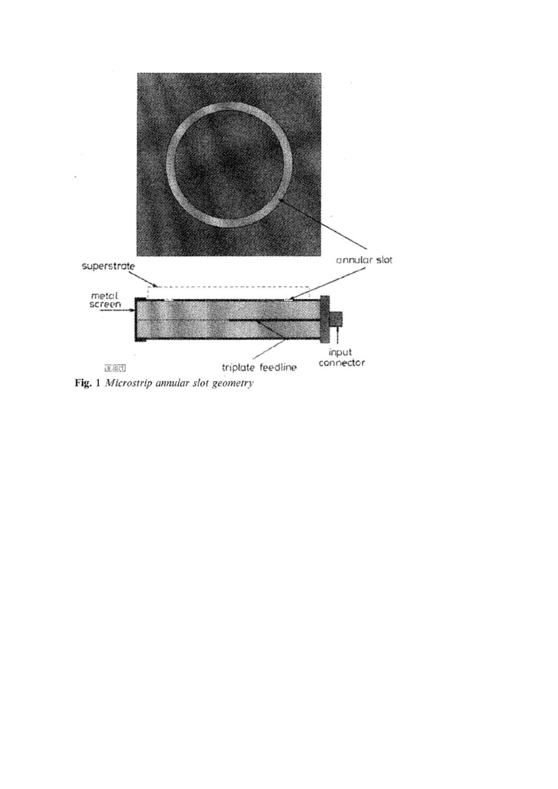

Fig. 1 Microstrip annular slot geometry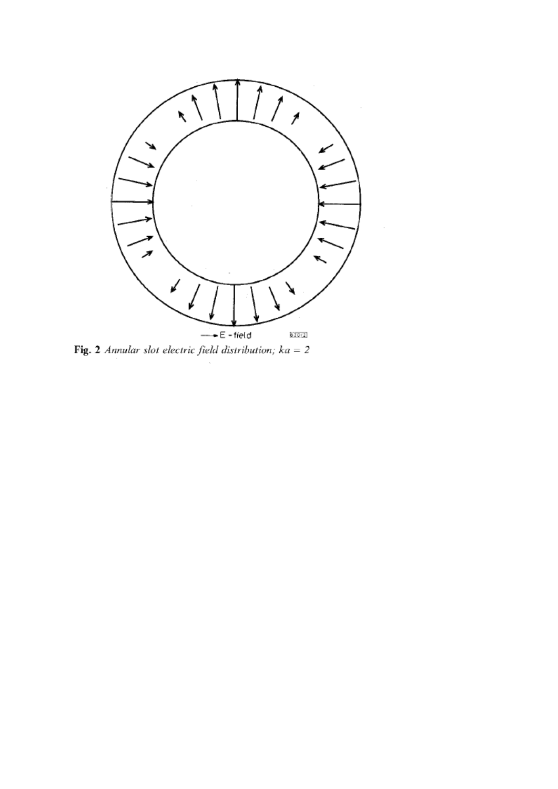

Fig. 2 Annular slot electric field distribution;  $ka = 2$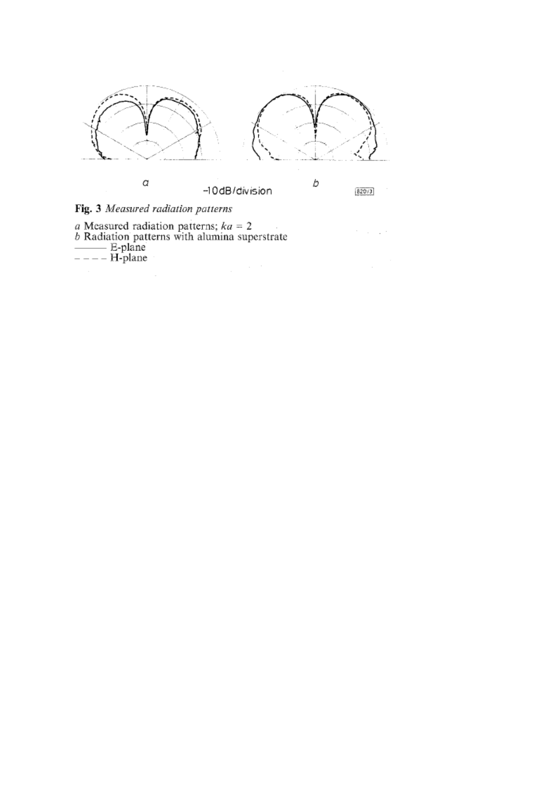

 $\mathcal{C}=\mathcal{C}=\mathcal{C}$  ,  $\mathcal{C}$ 

 $\overline{\phantom{a}}$ 

Fig. 3 Measured radiation patterns

a Measured radiation patterns;  $ka = 2$ <br>
b Radiation patterns with alumina superstrate<br>  $\overline{\phantom{a}}$  = - - - H-plane